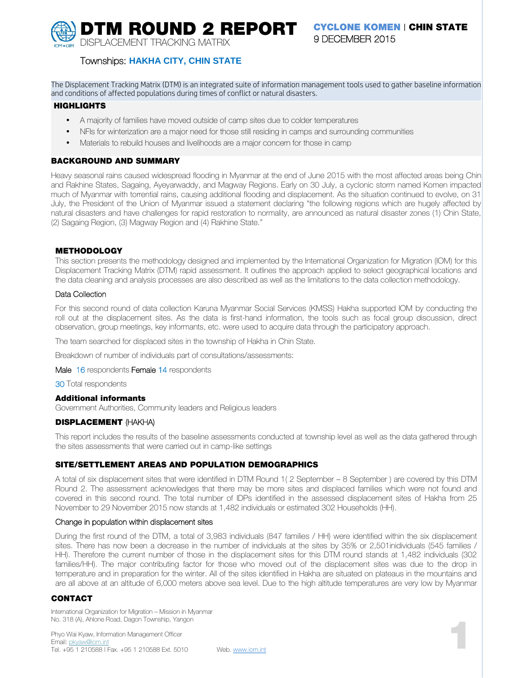**DTM ROUND 2 REPORT CYCLONE KOMEN | CHIN STATE** DISPLACEMENT TRACKING MATRIX

# **9 DECEMBER 2015**

**Townships: HAKHA CITY, CHIN STATE**

The Displacement Tracking Matrix (DTM) is an integrated suite of information management tools used to gather baseline information and conditions of affected populations during times of conflict or natural disasters.

#### **HIGHLIGHTS**

- A majority of families have moved outside of camp sites due to colder temperatures
- NFIs for winterization are a major need for those still residing in camps and surrounding communities
- Materials to rebuild houses and livelihoods are a major concern for those in camp

## **BACKGROUND AND SUMMARY**

Heavy seasonal rains caused widespread flooding in Myanmar at the end of June 2015 with the most affected areas being Chin and Rakhine States, Sagaing, Ayeyarwaddy, and Magway Regions. Early on 30 July, a cyclonic storm named Komen impacted much of Myanmar with torrential rains, causing additional flooding and displacement. As the situation continued to evolve, on 31 July, the President of the Union of Myanmar issued a statement declaring "the following regions which are hugely affected by natural disasters and have challenges for rapid restoration to normality, are announced as natural disaster zones (1) Chin State, (2) Sagaing Region, (3) Magway Region and (4) Rakhine State."

## **METHODOLOGY**

This section presents the methodology designed and implemented by the International Organization for Migration (IOM) for this Displacement Tracking Matrix (DTM) rapid assessment. It outlines the approach applied to select geographical locations and the data cleaning and analysis processes are also described as well as the limitations to the data collection methodology.

## **Data Collection**

For this second round of data collection Karuna Myanmar Social Services (KMSS) Hakha supported IOM by conducting the roll out at the displacement sites. As the data is first-hand information, the tools such as focal group discussion, direct observation, group meetings, key informants, etc. were used to acquire data through the participatory approach.

The team searched for displaced sites in the township of Hakha in Chin State.

Breakdown of number of individuals part of consultations/assessments:

**Male 16** respondents **Female 14** respondents

**30** Total respondents

#### **Additional informants**

Government Authorities, Community leaders and Religious leaders

## **DISPLACEMENT (HAKHA)**

This report includes the results of the baseline assessments conducted at township level as well as the data gathered through the sites assessments that were carried out in camp-like settings

## **SITE/SETTLEMENT AREAS AND POPULATION DEMOGRAPHICS**

A total of six displacement sites that were identified in DTM Round 1( 2 September – 8 September ) are covered by this DTM Round 2. The assessment acknowledges that there may be more sites and displaced families which were not found and covered in this second round. The total number of IDPs identified in the assessed displacement sites of Hakha from 25 November to 29 November 2015 now stands at 1,482 individuals or estimated 302 Households (HH).

#### **Change in population within displacement sites**

During the first round of the DTM, a total of 3,983 individuals (847 families / HH) were identified within the six displacement sites. There has now been a decrease in the number of individuals at the sites by 35% or 2,501inidividuals (545 families / HH). Therefore the current number of those in the displacement sites for this DTM round stands at 1,482 individuals (302 families/HH). The major contributing factor for those who moved out of the displacement sites was due to the drop in temperature and in preparation for the winter. All of the sites identified in Hakha are situated on plateaus in the mountains and are all above at an altitude of 6,000 meters above sea level. Due to the high altitude temperatures are very low by Myanmar

## **CONTACT**

International Organization for Migration – Mission in Myanmar No. 318 (A), Ahlone Road, Dagon Township, Yangon

Phyo Wai Kyaw, Information Management Officer Email: pkyaw@iom.int<br>Tel. +95 1 210588 | Fax. +95 1 210588 Ext. 5010 No. 318 (A), Ahlone Hoad, Dagon Township, Yangon<br>Phyo Wai Kyaw, Information Management Officer<br>Email: <u>pkyaw@iom.int</u><br>Tel. +95 1 210588 | Fax. +95 1 210588 Ext. 5010 Web. www.iom.int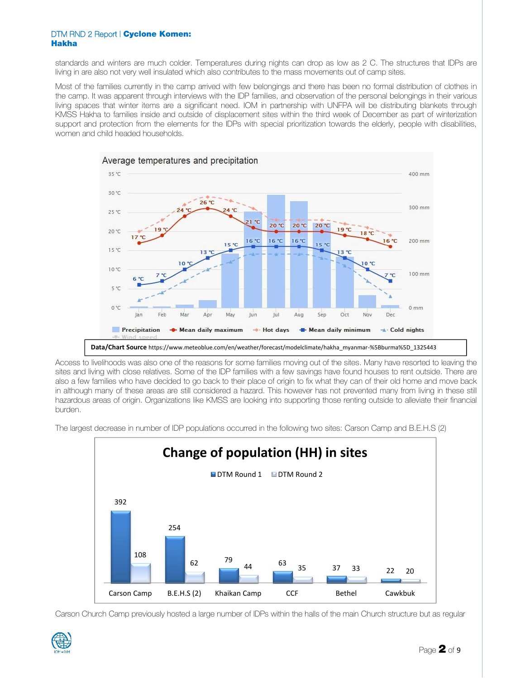standards and winters are much colder. Temperatures during nights can drop as low as 2 C. The structures that IDPs are living in are also not very well insulated which also contributes to the mass movements out of camp sites.

Most of the families currently in the camp arrived with few belongings and there has been no formal distribution of clothes in the camp. It was apparent through interviews with the IDP families, and observation of the personal belongings in their various living spaces that winter items are a significant need. IOM in partnership with UNFPA will be distributing blankets through KMSS Hakha to families inside and outside of displacement sites within the third week of December as part of winterization support and protection from the elements for the IDPs with special prioritization towards the elderly, people with disabilities, women and child headed households.



Access to livelihoods was also one of the reasons for some families moving out of the sites. Many have resorted to leaving the sites and living with close relatives. Some of the IDP families with a few savings have found houses to rent outside. There are also a few families who have decided to go back to their place of origin to fix what they can of their old home and move back in although many of these areas are still considered a hazard. This however has not prevented many from living in these still hazardous areas of origin. Organizations like KMSS are looking into supporting those renting outside to alleviate their financial burden.

The largest decrease in number of IDP populations occurred in the following two sites: Carson Camp and B.E.H.S (2)



Carson Church Camp previously hosted a large number of IDPs within the halls of the main Church structure but as regular

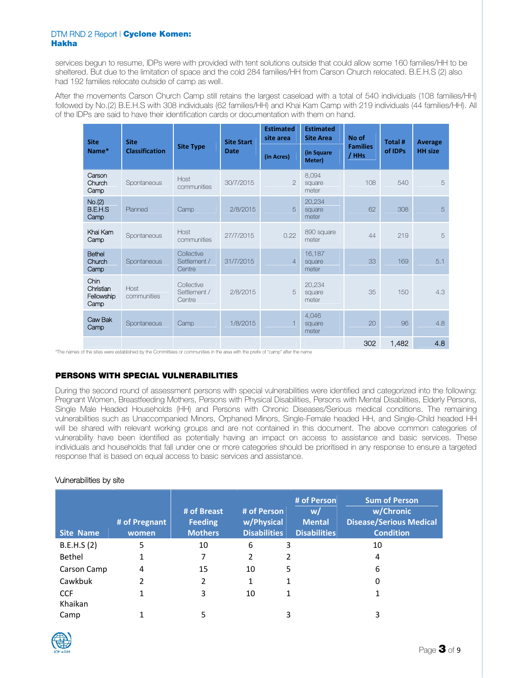services begun to resume, IDPs were with provided with tent solutions outside that could allow some 160 families/HH to be sheltered. But due to the limitation of space and the cold 284 families/HH from Carson Church relocated. B.E.H.S (2) also had 192 families relocate outside of camp as well.

After the movements Carson Church Camp still retains the largest caseload with a total of 540 individuals (108 families/HH) followed by No.(2) B.E.H.S with 308 individuals (62 families/HH) and Khai Kam Camp with 219 individuals (44 families/HH). All of the IDPs are said to have their identification cards or documentation with them on hand.

| <b>Site</b>                             | <b>Site</b>           | <b>Site Type</b>                     | <b>Site Start</b> | <b>Estimated</b><br>site area | <b>Estimated</b><br><b>Site Area</b> | No of<br><b>Families</b> | Total # | Average        |
|-----------------------------------------|-----------------------|--------------------------------------|-------------------|-------------------------------|--------------------------------------|--------------------------|---------|----------------|
| Name*                                   | <b>Classification</b> |                                      | <b>Date</b>       | (in Acres)                    | (in Square<br>Meter)                 | / HHs                    | of IDPs | <b>HH</b> size |
| Carson<br>Church<br>Camp                | Spontaneous           | Host<br>communities                  | 30/7/2015         | $\overline{2}$                | 8,094<br>square<br>meter             | 108                      | 540     | 5              |
| No.(2)<br>B.E.H.S<br>Camp               | Planned               | Camp                                 | 2/8/2015          | 5                             | 20,234<br>square<br>meter            | 62                       | 308     | 5              |
| Khai Kam<br>Camp                        | Spontaneous           | Host<br>communities                  | 27/7/2015         | 0.22                          | 890 square<br>meter                  | 44                       | 219     | 5              |
| Bethel<br>Church<br>Camp                | Spontaneous           | Collective<br>Settlement /<br>Centre | 31/7/2015         | $\overline{4}$                | 16,187<br>square<br>meter            | 33                       | 169     | 5.1            |
| Chin<br>Christian<br>Fellowship<br>Camp | Host<br>communities   | Collective<br>Settlement /<br>Centre | 2/8/2015          | 5                             | 20,234<br>square<br>meter            | 35                       | 150     | 4.3            |
| Caw Bak<br>Camp                         | Spontaneous<br>Camp   |                                      | 1/8/2015          |                               | 4,046<br>square<br>meter             | 20                       | 96      | 4.8            |
|                                         |                       |                                      |                   |                               |                                      | 302                      | 1,482   | 4.8            |

\*The names of the sites were established by the Committees or communities in the area with the prefix of "camp" after the name

# **PERSONS WITH SPECIAL VULNERABILITIES**

During the second round of assessment persons with special vulnerabilities were identified and categorized into the following: Pregnant Women, Breastfeeding Mothers, Persons with Physical Disabilities, Persons with Mental Disabilities, Elderly Persons, Single Male Headed Households (HH) and Persons with Chronic Diseases/Serious medical conditions. The remaining vulnerabilities such as Unaccompanied Minors, Orphaned Minors, Single-Female headed HH, and Single-Child headed HH will be shared with relevant working groups and are not contained in this document. The above common categories of vulnerability have been identified as potentially having an impact on access to assistance and basic services. These individuals and households that fall under one or more categories should be prioritised in any response to ensure a targeted response that is based on equal access to basic services and assistance.

## **Vulnerabilities by site**

| <b>Site Name</b> | # of Pregnant<br>women | # of Breast<br><b>Feeding</b><br><b>Mothers</b> | # of Person<br>w/Physical<br><b>Disabilities</b> | # of Person<br>w/<br><b>Mental</b><br><b>Disabilities</b> | <b>Sum of Person</b><br>w/Chronic<br><b>Disease/Serious Medical</b><br><b>Condition</b> |
|------------------|------------------------|-------------------------------------------------|--------------------------------------------------|-----------------------------------------------------------|-----------------------------------------------------------------------------------------|
| B.E.H.S (2)      | 5                      | 10                                              | 6                                                | 3                                                         | 10                                                                                      |
| Bethel           |                        | 7                                               | 2                                                | 2                                                         | 4                                                                                       |
| Carson Camp      | 4                      | 15                                              | 10                                               | 5                                                         | 6                                                                                       |
| Cawkbuk          | 2                      | 2                                               | 1                                                | 1                                                         | 0                                                                                       |
| <b>CCF</b>       |                        | 3                                               | 10                                               | 1                                                         |                                                                                         |
| Khaikan          |                        |                                                 |                                                  |                                                           |                                                                                         |
| Camp             |                        | 5                                               |                                                  | 3                                                         | 3                                                                                       |

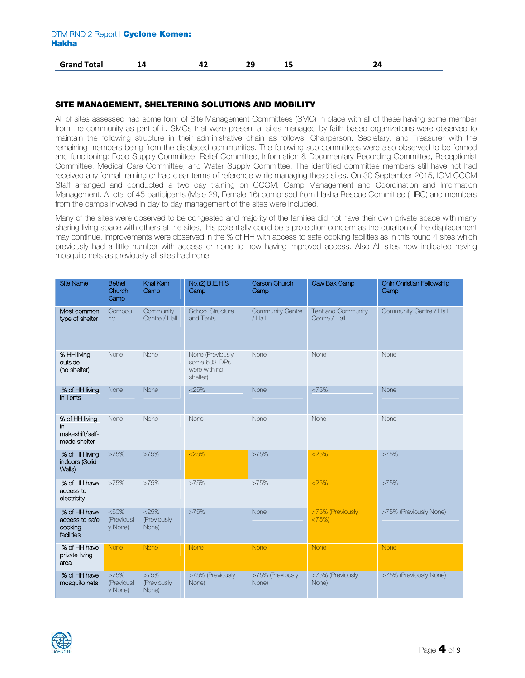| <b>Cotal</b><br>Grandi<br>υιαι<br>____ | - | - - | __ | __ |  |
|----------------------------------------|---|-----|----|----|--|
|                                        |   |     |    |    |  |

## **SITE MANAGEMENT, SHELTERING SOLUTIONS AND MOBILITY**

All of sites assessed had some form of Site Management Committees (SMC) in place with all of these having some member from the community as part of it. SMCs that were present at sites managed by faith based organizations were observed to maintain the following structure in their administrative chain as follows: Chairperson, Secretary, and Treasurer with the remaining members being from the displaced communities. The following sub committees were also observed to be formed and functioning: Food Supply Committee, Relief Committee, Information & Documentary Recording Committee, Receptionist Committee, Medical Care Committee, and Water Supply Committee. The identified committee members still have not had received any formal training or had clear terms of reference while managing these sites. On 30 September 2015, IOM CCCM Staff arranged and conducted a two day training on CCCM, Camp Management and Coordination and Information Management. A total of 45 participants (Male 29, Female 16) comprised from Hakha Rescue Committee (HRC) and members from the camps involved in day to day management of the sites were included.

Many of the sites were observed to be congested and majority of the families did not have their own private space with many sharing living space with others at the sites, this potentially could be a protection concern as the duration of the displacement may continue. Improvements were observed in the % of HH with access to safe cooking facilities as in this round 4 sites which previously had a little number with access or none to now having improved access. Also All sites now indicated having mosquito nets as previously all sites had none.

| <b>Site Name</b>                                         | <b>Bethel</b><br>Khai Kam<br>No.(2) B.E.H.S<br>Church<br>Camp<br>Camp<br>Camp |                              | Carson Church<br>Camp                                         | Caw Bak Camp              | Chin Christian Fellowship<br>Camp   |                         |
|----------------------------------------------------------|-------------------------------------------------------------------------------|------------------------------|---------------------------------------------------------------|---------------------------|-------------------------------------|-------------------------|
| Most common<br>type of shelter                           | Community<br>Compou<br>Centre / Hall<br>nd                                    |                              | School Structure<br>Community Centre<br>and Tents<br>$/$ Hall |                           | Tent and Community<br>Centre / Hall | Community Centre / Hall |
| % HH living<br>outside<br>(no shelter)                   | None<br>None                                                                  |                              | None (Previously<br>some 603 IDPs<br>were with no<br>shelter) | None                      | None                                | None                    |
| % of HH living<br>in Tents                               | None                                                                          | None                         | $<$ 25%                                                       | None                      | <75%                                | None                    |
| % of HH living<br>in.<br>makeshift/self-<br>made shelter | None<br>None                                                                  |                              | None                                                          | None                      | None                                | None                    |
| % of HH living<br>indoors (Solid<br>Walls)               | >75%                                                                          | >75%                         | < 25%                                                         | >75%                      |                                     | >75%                    |
| % of HH have<br>access to<br>electricity                 | >75%                                                                          | >75%                         | >75%                                                          | >75%                      | $<$ 25%                             | >75%                    |
| % of HH have<br>access to safe<br>cooking<br>facilities  | < 50%<br>$<$ 25%<br>(Previousl<br>(Previously<br>None)<br>y None)             |                              | >75%<br>None                                                  |                           | >75% (Previously<br><75%            | >75% (Previously None)  |
| % of HH have<br>private living<br>area                   | None                                                                          | None                         | None                                                          | None                      | None                                | <b>None</b>             |
| % of HH have<br>mosquito nets                            | >75%<br>(Previousl<br>y None)                                                 | >75%<br>(Previously<br>None) | >75% (Previously<br>None)                                     | >75% (Previously<br>None) | >75% (Previously<br>None)           | >75% (Previously None)  |

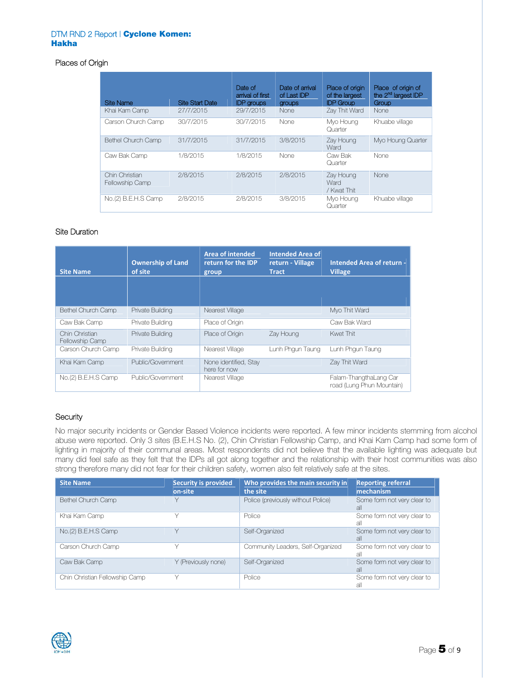# **Places of Origin**

|                                   |                        | Date of                               | Date of arrival       | Place of origin                    | Place of origin of                       |
|-----------------------------------|------------------------|---------------------------------------|-----------------------|------------------------------------|------------------------------------------|
| <b>Site Name</b>                  | <b>Site Start Date</b> | arrival of first<br><b>IDP</b> groups | of Last IDP<br>groups | of the largest<br><b>IDP Group</b> | the 2 <sup>nd</sup> largest IDP<br>Group |
| Khai Kam Camp                     | 27/7/2015              | 29/7/2015                             | <b>None</b>           | Zay Thit Ward                      | None                                     |
| Carson Church Camp                | 30/7/2015              | 30/7/2015                             | None                  | Myo Houng<br>Quarter               | Khuabe village                           |
| Bethel Church Camp                | 31/7/2015              | 31/7/2015                             | 3/8/2015              | Zay Houng<br>Ward                  | Myo Houng Quarter                        |
| Caw Bak Camp                      | 1/8/2015               | 1/8/2015                              | None                  | Caw Bak<br>Quarter                 | None                                     |
| Chin Christian<br>Fellowship Camp | 2/8/2015               | 2/8/2015                              | 2/8/2015              | Zay Houng<br>Ward<br>/ Kwat Thit   | None                                     |
| No.(2) B.E.H.S Camp               | 2/8/2015               | 2/8/2015                              | 3/8/2015              | Myo Houng<br>Quarter               | Khuabe village                           |

## **Site Duration**

| <b>Site Name</b>                  | <b>Ownership of Land</b><br>of site | Area of intended<br>return for the IDP<br>group | <b>Intended Area of</b><br>return - Village<br><b>Tract</b> | Intended Area of return -<br><b>Village</b>         |
|-----------------------------------|-------------------------------------|-------------------------------------------------|-------------------------------------------------------------|-----------------------------------------------------|
|                                   |                                     |                                                 |                                                             |                                                     |
| <b>Bethel Church Camp</b>         | Private Building                    | Nearest Village                                 |                                                             | Myo Thit Ward                                       |
| Caw Bak Camp                      | Private Building                    | Place of Origin                                 |                                                             | Caw Bak Ward                                        |
| Chin Christian<br>Fellowship Camp | Private Building                    | Place of Origin                                 | Zay Houng                                                   | Kwet Thit                                           |
| Carson Church Camp                | Private Building                    | Nearest Village                                 | Lunh Phgun Taung                                            | Lunh Phgun Taung                                    |
| Khai Kam Camp                     | Public/Government                   | None identified, Stay<br>here for now           |                                                             | Zay Thit Ward                                       |
| No.(2) B.E.H.S Camp               | Public/Government                   | Nearest Village                                 |                                                             | Falam-ThangthaLang Car<br>road (Lung Phun Mountain) |

# **Security**

No major security incidents or Gender Based Violence incidents were reported. A few minor incidents stemming from alcohol abuse were reported. Only 3 sites (B.E.H.S No. (2), Chin Christian Fellowship Camp, and Khai Kam Camp had some form of lighting in majority of their communal areas. Most respondents did not believe that the available lighting was adequate but many did feel safe as they felt that the IDPs all got along together and the relationship with their host communities was also strong therefore many did not fear for their children safety, women also felt relatively safe at the sites.

| <b>Site Name</b>               | <b>Security is provided</b><br>on-site | Who provides the main security in<br>the site | <b>Reporting referral</b><br>mechanism |
|--------------------------------|----------------------------------------|-----------------------------------------------|----------------------------------------|
| Bethel Church Camp             |                                        | Police (previously without Police)            | Some form not very clear to<br>all     |
| Khai Kam Camp                  |                                        | Police                                        | Some form not very clear to<br>all     |
| No.(2) B.E.H.S Camp            |                                        | Self-Organized                                | Some form not very clear to<br>all     |
| Carson Church Camp             |                                        | Community Leaders, Self-Organized             | Some form not very clear to<br>all     |
| Caw Bak Camp                   | Y (Previously none)                    | Self-Organized                                | Some form not very clear to<br>all     |
| Chin Christian Fellowship Camp |                                        | Police                                        | Some form not very clear to<br>all     |

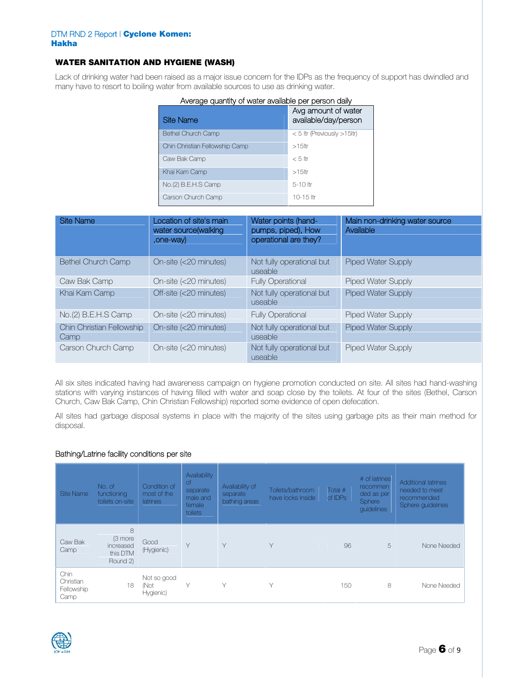# **WATER SANITATION AND HYGIENE (WASH)**

Lack of drinking water had been raised as a major issue concern for the IDPs as the frequency of support has dwindled and many have to resort to boiling water from available sources to use as drinking water.

| <b>Site Name</b>               | Avg amount of water<br>available/day/person |
|--------------------------------|---------------------------------------------|
| <b>Bethel Church Camp</b>      | $< 5$ Itr (Previously $>15$ Itr)            |
| Chin Christian Fellowship Camp | $>15$ ltr                                   |
| Caw Bak Camp                   | $< 5$ ltr                                   |
| Khai Kam Camp                  | $>15$ ltr                                   |
| No.(2) B.E.H.S Camp            | $5-10$ ltr                                  |
| Carson Church Camp             | $10-15$ ltr                                 |

| Average quantity of water available per person daily |  |
|------------------------------------------------------|--|
|                                                      |  |
|                                                      |  |

| <b>Site Name</b>                  | Location of site's main<br>water source(walking<br>,one-way) | <b>Water points (hand-</b><br>pumps, piped), How<br>operational are they? | Main non-drinking water source<br>Available |
|-----------------------------------|--------------------------------------------------------------|---------------------------------------------------------------------------|---------------------------------------------|
| <b>Bethel Church Camp</b>         | On-site (<20 minutes)                                        | Not fully operational but<br>useable                                      | <b>Piped Water Supply</b>                   |
| Caw Bak Camp                      | On-site (<20 minutes)                                        | <b>Fully Operational</b>                                                  | <b>Piped Water Supply</b>                   |
| Khai Kam Camp                     | Off-site (<20 minutes)                                       | Not fully operational but<br>useable                                      | <b>Piped Water Supply</b>                   |
| No.(2) B.E.H.S Camp               | On-site (<20 minutes)                                        | <b>Fully Operational</b>                                                  | Piped Water Supply                          |
| Chin Christian Fellowship<br>Camp | On-site (<20 minutes)                                        | Not fully operational but<br>useable                                      | <b>Piped Water Supply</b>                   |
| Carson Church Camp                | On-site (<20 minutes)                                        | Not fully operational but<br>useable                                      | <b>Piped Water Supply</b>                   |

All six sites indicated having had awareness campaign on hygiene promotion conducted on site. All sites had hand-washing stations with varying instances of having filled with water and soap close by the toilets. At four of the sites (Bethel, Carson Church, Caw Bak Camp, Chin Christian Fellowship) reported some evidence of open defecation.

All sites had garbage disposal systems in place with the majority of the sites using garbage pits as their main method for disposal.

## **Bathing/Latrine facility conditions per site**

| Site Name                               | No. of<br>functioning<br>toilets on-site          | Condition of<br>most of the<br>latrines | Availability<br><sub>of</sub><br>separate<br>male and<br>female<br>toilets | Availability of<br>separate<br>bathing areas | Toilets/bathroom<br>have locks inside | Total #<br>of IDPs | # of latrines<br>recommen<br>ded as per<br>Sphere<br>guidelines | <b>Additional latrines</b><br>needed to meet<br>recommended<br>Sphere guidelines |
|-----------------------------------------|---------------------------------------------------|-----------------------------------------|----------------------------------------------------------------------------|----------------------------------------------|---------------------------------------|--------------------|-----------------------------------------------------------------|----------------------------------------------------------------------------------|
| Caw Bak<br>Camp                         | 8<br>(3 more<br>increased<br>this DTM<br>Round 2) | Good<br>(Hygienic)                      | Y                                                                          | $\vee$                                       | $\vee$                                | 96                 | 5                                                               | None Needed                                                                      |
| Chin<br>Christian<br>Fellowship<br>Camp | 18                                                | Not so good<br>(Not<br>Hygienic)        | $\vee$                                                                     | $\vee$                                       | $\vee$                                | 150                | 8                                                               | None Needed                                                                      |

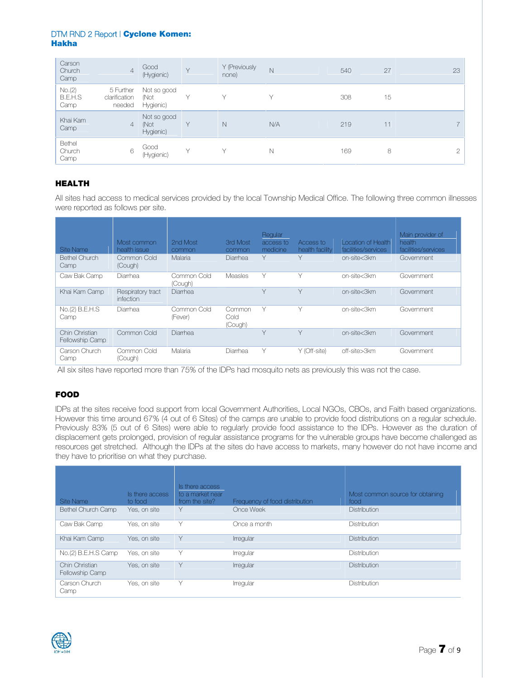| Carson<br>Church<br>Camp         | $\overline{4}$                       | Good<br>(Hygienic)               | $\vee$       | Y (Previously<br>none) | $\mathbb N$ | 540 | 27 | 23            |
|----------------------------------|--------------------------------------|----------------------------------|--------------|------------------------|-------------|-----|----|---------------|
| No.(2)<br><b>B.E.H.S</b><br>Camp | 5 Further<br>clarification<br>needed | Not so good<br>(Not<br>Hygienic) |              |                        | $\vee$      | 308 | 15 |               |
| Khai Kam<br>Camp                 | $\overline{4}$                       | Not so good<br>(Not<br>Hygienic) | $\vee$       | N                      | N/A         | 219 | 11 | $\rightarrow$ |
| Bethel<br>Church<br>Camp         | 6                                    | Good<br>(Hygienic)               | $\checkmark$ | $\checkmark$           | $\mathbb N$ | 169 | 8  | $\cap$        |

# **HEALTH**

All sites had access to medical services provided by the local Township Medical Office. The following three common illnesses were reported as follows per site.

| Site Name<br><b>Bethel Church</b><br>Camp | Most common<br>health issue<br>Common Cold<br>(Cough) | 2nd Most<br>common<br>Malaria | 3rd Most<br>common<br>Diarrhea | Regular<br>access to<br>medicine<br>Υ | Access to<br>health facility<br>Υ | Location of Health<br>facilities/services<br>on-site<3km | Main provider of<br>health<br>facilities/services<br>Government |
|-------------------------------------------|-------------------------------------------------------|-------------------------------|--------------------------------|---------------------------------------|-----------------------------------|----------------------------------------------------------|-----------------------------------------------------------------|
| Caw Bak Camp                              | Diarrhea                                              | Common Cold<br>(Cough)        | Measles                        | Y                                     | Υ                                 | on-site<3km                                              | Government                                                      |
| Khai Kam Camp                             | Respiratory tract<br>infection                        | Diarrhea                      |                                | $\vee$                                | Y                                 | on-site<3km                                              | Government                                                      |
| No.(2) B.E.H.S<br>Camp                    | Diarrhea                                              | Common Cold<br>(Fever)        | Common<br>Cold<br>(Cough)      | Y                                     | Υ                                 | on-site<3km                                              | Government                                                      |
| Chin Christian<br>Fellowship Camp         | Common Cold                                           | Diarrhea                      |                                | $\vee$                                | Y                                 | on-site<3km                                              | Government                                                      |
| Carson Church<br>Camp                     | Common Cold<br>(Cough)                                | Malaria                       | Diarrhea                       | Υ                                     | Y (Off-site)                      | off-site>3km                                             | Government                                                      |

All six sites have reported more than 75% of the IDPs had mosquito nets as previously this was not the case.

# **FOOD**

IDPs at the sites receive food support from local Government Authorities, Local NGOs, CBOs, and Faith based organizations. However this time around 67% (4 out of 6 Sites) of the camps are unable to provide food distributions on a regular schedule. Previously 83% (5 out of 6 Sites) were able to regularly provide food assistance to the IDPs. However as the duration of displacement gets prolonged, provision of regular assistance programs for the vulnerable groups have become challenged as resources get stretched. Although the IDPs at the sites do have access to markets, many however do not have income and they have to prioritise on what they purchase.

|                                   |                            | Is there access                    |                                |                                          |
|-----------------------------------|----------------------------|------------------------------------|--------------------------------|------------------------------------------|
| Site Name                         | Is there access<br>to food | to a market near<br>from the site? | Frequency of food distribution | Most common source for obtaining<br>food |
| Bethel Church Camp                | Yes, on site               | ٧                                  | Once Week                      | <b>Distribution</b>                      |
| Caw Bak Camp                      | Yes, on site               | Υ                                  | Once a month                   | <b>Distribution</b>                      |
| Khai Kam Camp                     | Yes, on site               | Υ                                  | Irregular                      | <b>Distribution</b>                      |
| No.(2) B.E.H.S Camp               | Yes, on site               | Υ                                  | Irregular                      | <b>Distribution</b>                      |
| Chin Christian<br>Fellowship Camp | Yes, on site               | Υ                                  | Irregular                      | <b>Distribution</b>                      |
| Carson Church<br>Camp             | Yes, on site               | Υ                                  | Irregular                      | <b>Distribution</b>                      |

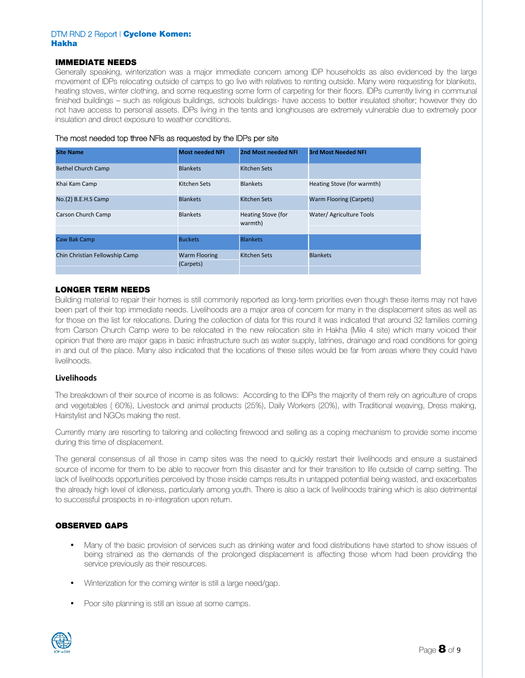# **IMMEDIATE NEEDS**

Generally speaking, winterization was a major immediate concern among IDP households as also evidenced by the large movement of IDPs relocating outside of camps to go live with relatives to renting outside. Many were requesting for blankets, heating stoves, winter clothing, and some requesting some form of carpeting for their floors. IDPs currently living in communal finished buildings – such as religious buildings, schools buildings- have access to better insulated shelter; however they do not have access to personal assets. IDPs living in the tents and longhouses are extremely vulnerable due to extremely poor insulation and direct exposure to weather conditions.

| The most needed top three NFIs as requested by the IDPs per site |  |
|------------------------------------------------------------------|--|
|------------------------------------------------------------------|--|

| <b>Site Name</b>               | <b>Most needed NFI</b>            | 2nd Most needed NFI           | <b>3rd Most Needed NFI</b>     |
|--------------------------------|-----------------------------------|-------------------------------|--------------------------------|
| <b>Bethel Church Camp</b>      | <b>Blankets</b>                   | Kitchen Sets                  |                                |
| Khai Kam Camp                  | <b>Kitchen Sets</b>               | <b>Blankets</b>               | Heating Stove (for warmth)     |
| No.(2) B.E.H.S Camp            | <b>Blankets</b>                   | Kitchen Sets                  | <b>Warm Flooring (Carpets)</b> |
| Carson Church Camp             | <b>Blankets</b>                   | Heating Stove (for<br>warmth) | Water/ Agriculture Tools       |
| Caw Bak Camp                   | <b>Buckets</b>                    | <b>Blankets</b>               |                                |
| Chin Christian Fellowship Camp | <b>Warm Flooring</b><br>(Carpets) | Kitchen Sets                  | <b>Blankets</b>                |

## **LONGER TERM NEEDS**

Building material to repair their homes is still commonly reported as long-term priorities even though these items may not have been part of their top immediate needs. Livelihoods are a major area of concern for many in the displacement sites as well as for those on the list for relocations. During the collection of data for this round it was indicated that around 32 families coming from Carson Church Camp were to be relocated in the new relocation site in Hakha (Mile 4 site) which many voiced their opinion that there are major gaps in basic infrastructure such as water supply, latrines, drainage and road conditions for going in and out of the place. Many also indicated that the locations of these sites would be far from areas where they could have livelihoods.

#### **Livelihoods**

The breakdown of their source of income is as follows: According to the IDPs the majority of them rely on agriculture of crops and vegetables ( 60%), Livestock and animal products (25%), Daily Workers (20%), with Traditional weaving, Dress making, Hairstylist and NGOs making the rest.

Currently many are resorting to tailoring and collecting firewood and selling as a coping mechanism to provide some income during this time of displacement.

The general consensus of all those in camp sites was the need to quickly restart their livelihoods and ensure a sustained source of income for them to be able to recover from this disaster and for their transition to life outside of camp setting. The lack of livelihoods opportunities perceived by those inside camps results in untapped potential being wasted, and exacerbates the already high level of idleness, particularly among youth. There is also a lack of livelihoods training which is also detrimental to successful prospects in re-integration upon return.

## **OBSERVED GAPS**

- Many of the basic provision of services such as drinking water and food distributions have started to show issues of being strained as the demands of the prolonged displacement is affecting those whom had been providing the service previously as their resources.
- Winterization for the coming winter is still a large need/gap.
- Poor site planning is still an issue at some camps.